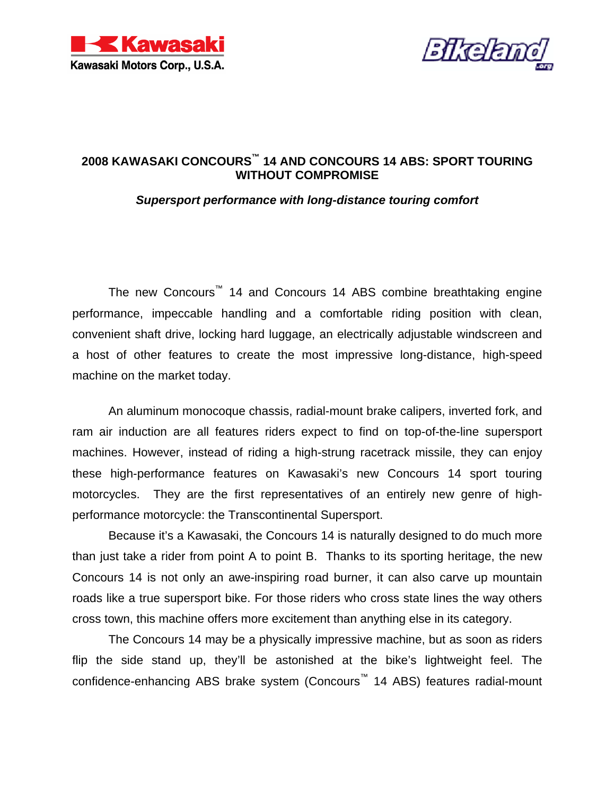



### **2008 KAWASAKI CONCOURS™ 14 AND CONCOURS 14 ABS: SPORT TOURING WITHOUT COMPROMISE**

### *Supersport performance with long-distance touring comfort*

The new Concours<sup>™</sup> 14 and Concours 14 ABS combine breathtaking engine performance, impeccable handling and a comfortable riding position with clean, convenient shaft drive, locking hard luggage, an electrically adjustable windscreen and a host of other features to create the most impressive long-distance, high-speed machine on the market today.

An aluminum monocoque chassis, radial-mount brake calipers, inverted fork, and ram air induction are all features riders expect to find on top-of-the-line supersport machines. However, instead of riding a high-strung racetrack missile, they can enjoy these high-performance features on Kawasaki's new Concours 14 sport touring motorcycles. They are the first representatives of an entirely new genre of highperformance motorcycle: the Transcontinental Supersport.

Because it's a Kawasaki, the Concours 14 is naturally designed to do much more than just take a rider from point A to point B. Thanks to its sporting heritage, the new Concours 14 is not only an awe-inspiring road burner, it can also carve up mountain roads like a true supersport bike. For those riders who cross state lines the way others cross town, this machine offers more excitement than anything else in its category.

The Concours 14 may be a physically impressive machine, but as soon as riders flip the side stand up, they'll be astonished at the bike's lightweight feel. The confidence-enhancing ABS brake system (Concours™ 14 ABS) features radial-mount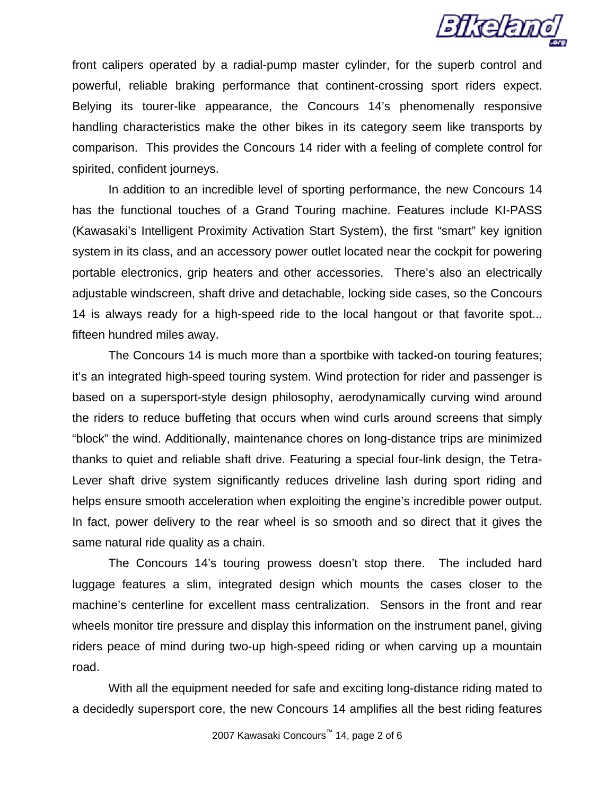

front calipers operated by a radial-pump master cylinder, for the superb control and powerful, reliable braking performance that continent-crossing sport riders expect. Belying its tourer-like appearance, the Concours 14's phenomenally responsive handling characteristics make the other bikes in its category seem like transports by comparison. This provides the Concours 14 rider with a feeling of complete control for spirited, confident journeys.

In addition to an incredible level of sporting performance, the new Concours 14 has the functional touches of a Grand Touring machine. Features include KI-PASS (Kawasaki's Intelligent Proximity Activation Start System), the first "smart" key ignition system in its class, and an accessory power outlet located near the cockpit for powering portable electronics, grip heaters and other accessories. There's also an electrically adjustable windscreen, shaft drive and detachable, locking side cases, so the Concours 14 is always ready for a high-speed ride to the local hangout or that favorite spot... fifteen hundred miles away.

The Concours 14 is much more than a sportbike with tacked-on touring features; it's an integrated high-speed touring system. Wind protection for rider and passenger is based on a supersport-style design philosophy, aerodynamically curving wind around the riders to reduce buffeting that occurs when wind curls around screens that simply "block" the wind. Additionally, maintenance chores on long-distance trips are minimized thanks to quiet and reliable shaft drive. Featuring a special four-link design, the Tetra-Lever shaft drive system significantly reduces driveline lash during sport riding and helps ensure smooth acceleration when exploiting the engine's incredible power output. In fact, power delivery to the rear wheel is so smooth and so direct that it gives the same natural ride quality as a chain.

The Concours 14's touring prowess doesn't stop there. The included hard luggage features a slim, integrated design which mounts the cases closer to the machine's centerline for excellent mass centralization. Sensors in the front and rear wheels monitor tire pressure and display this information on the instrument panel, giving riders peace of mind during two-up high-speed riding or when carving up a mountain road.

With all the equipment needed for safe and exciting long-distance riding mated to a decidedly supersport core, the new Concours 14 amplifies all the best riding features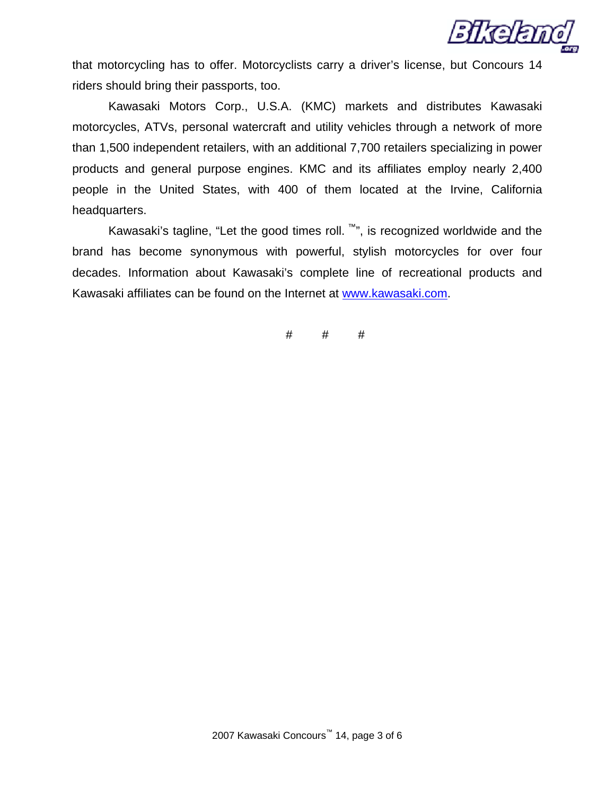

that motorcycling has to offer. Motorcyclists carry a driver's license, but Concours 14 riders should bring their passports, too.

Kawasaki Motors Corp., U.S.A. (KMC) markets and distributes Kawasaki motorcycles, ATVs, personal watercraft and utility vehicles through a network of more than 1,500 independent retailers, with an additional 7,700 retailers specializing in power products and general purpose engines. KMC and its affiliates employ nearly 2,400 people in the United States, with 400 of them located at the Irvine, California headquarters.

Kawasaki's tagline, "Let the good times roll.  $\mathbb{N}$ ", is recognized worldwide and the brand has become synonymous with powerful, stylish motorcycles for over four decades. Information about Kawasaki's complete line of recreational products and Kawasaki affiliates can be found on the Internet at [www.kawasaki.com](http://64.79.171.206/exchange/j.ewert/Inbox/Supercross%20GP_xF8FF_Buckmaster%20Release.EML/1_multipart_xF8FF_3_Kawasaki-Buckmaster2.doc/C58EA28C-18C0-4a97-9AF2-036E93DDAFB3/www.kawasaki.com).

 $#$   $#$   $#$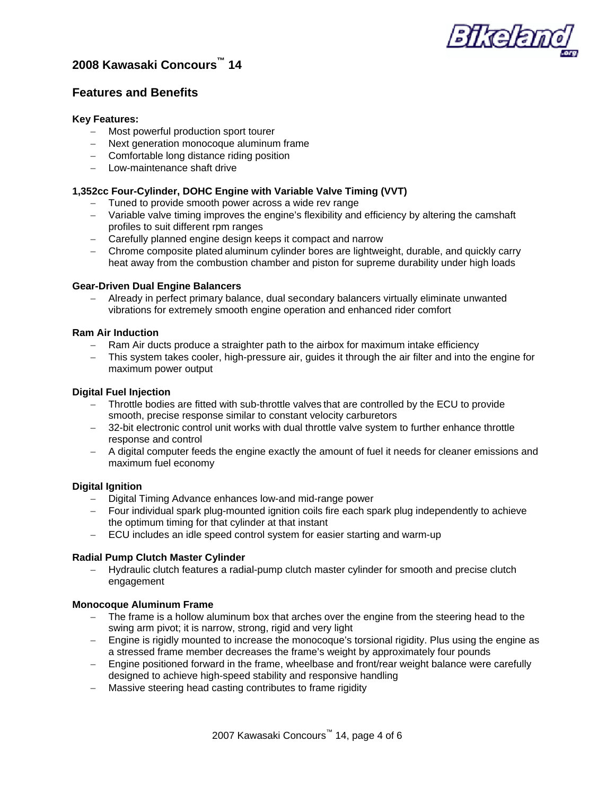

### **2008 Kawasaki Concours™ 14**

### **Features and Benefits**

### **Key Features:**

- − Most powerful production sport tourer
- − Next generation monocoque aluminum frame
- − Comfortable long distance riding position
- − Low-maintenance shaft drive

### **1,352cc Four-Cylinder, DOHC Engine with Variable Valve Timing (VVT)**

- − Tuned to provide smooth power across a wide rev range
- − Variable valve timing improves the engine's flexibility and efficiency by altering the camshaft profiles to suit different rpm ranges
- − Carefully planned engine design keeps it compact and narrow
- − Chrome composite plated aluminum cylinder bores are lightweight, durable, and quickly carry heat away from the combustion chamber and piston for supreme durability under high loads

### **Gear-Driven Dual Engine Balancers**

− Already in perfect primary balance, dual secondary balancers virtually eliminate unwanted vibrations for extremely smooth engine operation and enhanced rider comfort

### **Ram Air Induction**

- − Ram Air ducts produce a straighter path to the airbox for maximum intake efficiency
- − This system takes cooler, high-pressure air, guides it through the air filter and into the engine for maximum power output

### **Digital Fuel Injection**

- − Throttle bodies are fitted with sub-throttle valves that are controlled by the ECU to provide smooth, precise response similar to constant velocity carburetors
- − 32-bit electronic control unit works with dual throttle valve system to further enhance throttle response and control
- − A digital computer feeds the engine exactly the amount of fuel it needs for cleaner emissions and maximum fuel economy

### **Digital Ignition**

- − Digital Timing Advance enhances low-and mid-range power
- − Four individual spark plug-mounted ignition coils fire each spark plug independently to achieve the optimum timing for that cylinder at that instant
- − ECU includes an idle speed control system for easier starting and warm-up

### **Radial Pump Clutch Master Cylinder**

− Hydraulic clutch features a radial-pump clutch master cylinder for smooth and precise clutch engagement

### **Monocoque Aluminum Frame**

- − The frame is a hollow aluminum box that arches over the engine from the steering head to the swing arm pivot; it is narrow, strong, rigid and very light
- − Engine is rigidly mounted to increase the monocoque's torsional rigidity. Plus using the engine as a stressed frame member decreases the frame's weight by approximately four pounds
- − Engine positioned forward in the frame, wheelbase and front/rear weight balance were carefully designed to achieve high-speed stability and responsive handling
- − Massive steering head casting contributes to frame rigidity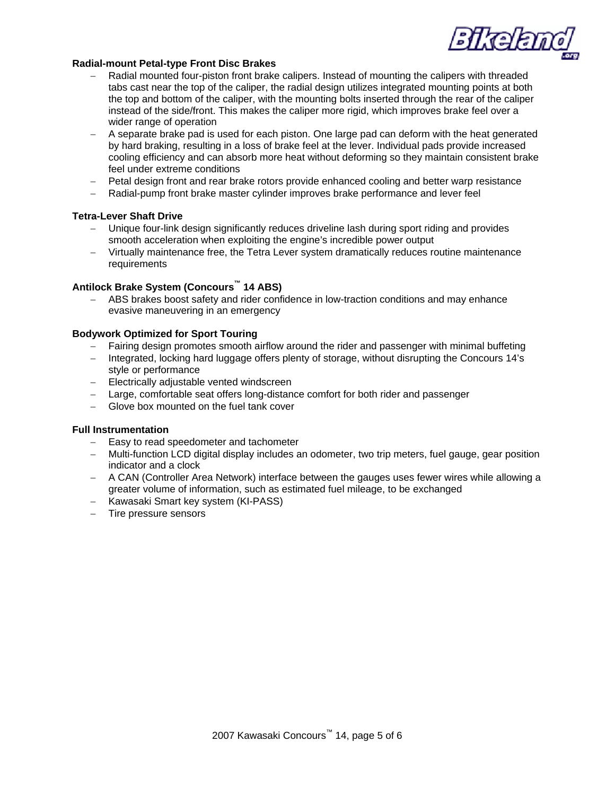*SIKERT* 

### **Radial-mount Petal-type Front Disc Brakes**

- − Radial mounted four-piston front brake calipers. Instead of mounting the calipers with threaded tabs cast near the top of the caliper, the radial design utilizes integrated mounting points at both the top and bottom of the caliper, with the mounting bolts inserted through the rear of the caliper instead of the side/front. This makes the caliper more rigid, which improves brake feel over a wider range of operation
- − A separate brake pad is used for each piston. One large pad can deform with the heat generated by hard braking, resulting in a loss of brake feel at the lever. Individual pads provide increased cooling efficiency and can absorb more heat without deforming so they maintain consistent brake feel under extreme conditions
- − Petal design front and rear brake rotors provide enhanced cooling and better warp resistance
- − Radial-pump front brake master cylinder improves brake performance and lever feel

### **Tetra-Lever Shaft Drive**

- − Unique four-link design significantly reduces driveline lash during sport riding and provides smooth acceleration when exploiting the engine's incredible power output
- − Virtually maintenance free, the Tetra Lever system dramatically reduces routine maintenance requirements

### **Antilock Brake System (Concours™ 14 ABS)**

− ABS brakes boost safety and rider confidence in low-traction conditions and may enhance evasive maneuvering in an emergency

#### **Bodywork Optimized for Sport Touring**

- − Fairing design promotes smooth airflow around the rider and passenger with minimal buffeting
- − Integrated, locking hard luggage offers plenty of storage, without disrupting the Concours 14's style or performance
- − Electrically adjustable vented windscreen
- − Large, comfortable seat offers long-distance comfort for both rider and passenger
- − Glove box mounted on the fuel tank cover

#### **Full Instrumentation**

- − Easy to read speedometer and tachometer
- − Multi-function LCD digital display includes an odometer, two trip meters, fuel gauge, gear position indicator and a clock
- − A CAN (Controller Area Network) interface between the gauges uses fewer wires while allowing a greater volume of information, such as estimated fuel mileage, to be exchanged
- − Kawasaki Smart key system (KI-PASS)
- − Tire pressure sensors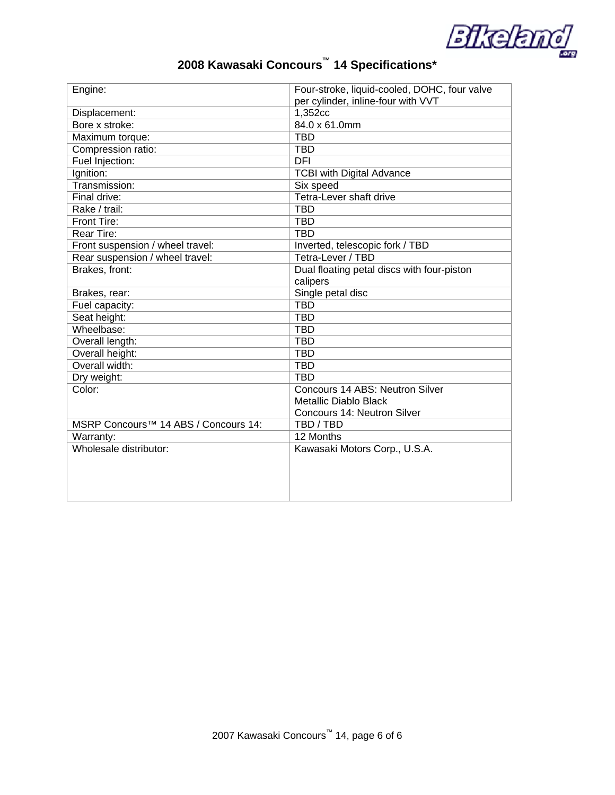

# **2008 Kawasaki Concours™ 14 Specifications\***

| Engine:                                          | Four-stroke, liquid-cooled, DOHC, four valve |
|--------------------------------------------------|----------------------------------------------|
|                                                  | per cylinder, inline-four with VVT           |
| Displacement:                                    | 1,352cc                                      |
| Bore x stroke:                                   | 84.0 x 61.0mm                                |
| Maximum torque:                                  | <b>TBD</b>                                   |
| Compression ratio:                               | <b>TBD</b>                                   |
| Fuel Injection:                                  | DFI                                          |
| Ignition:                                        | <b>TCBI with Digital Advance</b>             |
| Transmission:                                    | Six speed                                    |
| Final drive:                                     | Tetra-Lever shaft drive                      |
| Rake / trail:                                    | <b>TBD</b>                                   |
| Front Tire:                                      | <b>TBD</b>                                   |
| <b>Rear Tire:</b>                                | <b>TBD</b>                                   |
| Front suspension / wheel travel:                 | Inverted, telescopic fork / TBD              |
| Rear suspension / wheel travel:                  | Tetra-Lever / TBD                            |
| Brakes, front:                                   | Dual floating petal discs with four-piston   |
|                                                  | calipers                                     |
| Brakes, rear:                                    | Single petal disc                            |
| Fuel capacity:                                   | <b>TBD</b>                                   |
| Seat height:                                     | <b>TBD</b>                                   |
| Wheelbase:                                       | <b>TBD</b>                                   |
| Overall length:                                  | <b>TBD</b>                                   |
| Overall height:                                  | <b>TBD</b>                                   |
| Overall width:                                   | <b>TBD</b>                                   |
| Dry weight:                                      | <b>TBD</b>                                   |
| Color:                                           | Concours 14 ABS: Neutron Silver              |
|                                                  | <b>Metallic Diablo Black</b>                 |
|                                                  | Concours 14: Neutron Silver                  |
| MSRP Concours <sup>™</sup> 14 ABS / Concours 14: | TBD / TBD                                    |
| Warranty:                                        | 12 Months                                    |
| Wholesale distributor:                           | Kawasaki Motors Corp., U.S.A.                |
|                                                  |                                              |
|                                                  |                                              |
|                                                  |                                              |
|                                                  |                                              |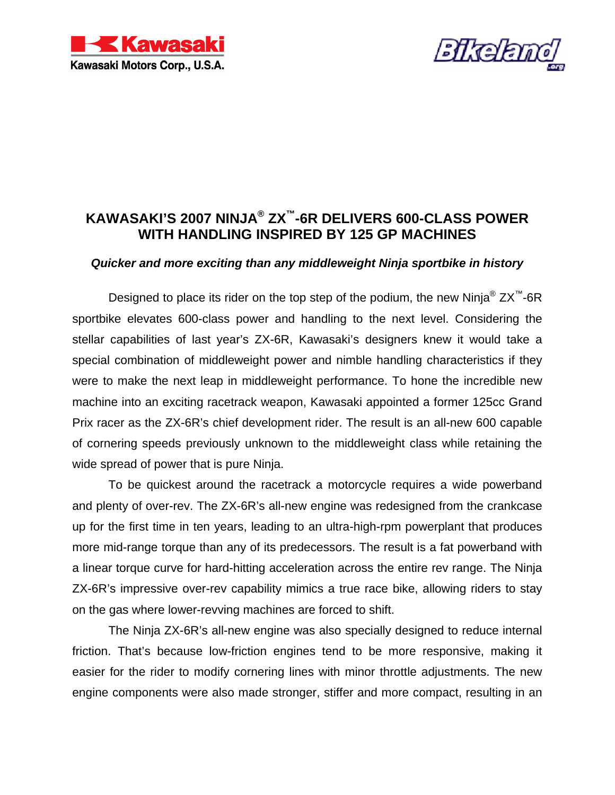



# **KAWASAKI'S 2007 NINJA® ZX™-6R DELIVERS 600-CLASS POWER WITH HANDLING INSPIRED BY 125 GP MACHINES**

### *Quicker and more exciting than any middleweight Ninja sportbike in history*

Designed to place its rider on the top step of the podium, the new Ninia<sup>®</sup>  $ZX^M$ -6R sportbike elevates 600-class power and handling to the next level. Considering the stellar capabilities of last year's ZX-6R, Kawasaki's designers knew it would take a special combination of middleweight power and nimble handling characteristics if they were to make the next leap in middleweight performance. To hone the incredible new machine into an exciting racetrack weapon, Kawasaki appointed a former 125cc Grand Prix racer as the ZX-6R's chief development rider. The result is an all-new 600 capable of cornering speeds previously unknown to the middleweight class while retaining the wide spread of power that is pure Ninja.

To be quickest around the racetrack a motorcycle requires a wide powerband and plenty of over-rev. The ZX-6R's all-new engine was redesigned from the crankcase up for the first time in ten years, leading to an ultra-high-rpm powerplant that produces more mid-range torque than any of its predecessors. The result is a fat powerband with a linear torque curve for hard-hitting acceleration across the entire rev range. The Ninja ZX-6R's impressive over-rev capability mimics a true race bike, allowing riders to stay on the gas where lower-revving machines are forced to shift.

The Ninja ZX-6R's all-new engine was also specially designed to reduce internal friction. That's because low-friction engines tend to be more responsive, making it easier for the rider to modify cornering lines with minor throttle adjustments. The new engine components were also made stronger, stiffer and more compact, resulting in an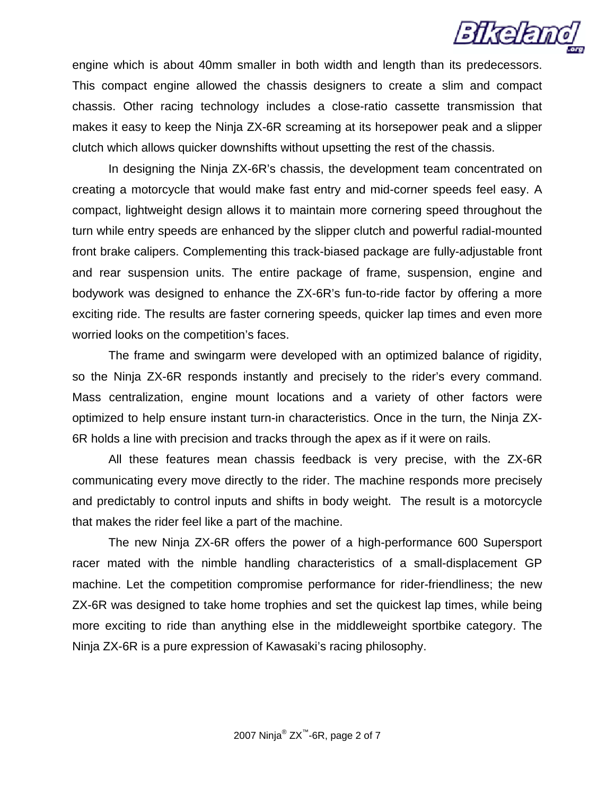

engine which is about 40mm smaller in both width and length than its predecessors. This compact engine allowed the chassis designers to create a slim and compact chassis. Other racing technology includes a close-ratio cassette transmission that makes it easy to keep the Ninja ZX-6R screaming at its horsepower peak and a slipper clutch which allows quicker downshifts without upsetting the rest of the chassis.

In designing the Ninja ZX-6R's chassis, the development team concentrated on creating a motorcycle that would make fast entry and mid-corner speeds feel easy. A compact, lightweight design allows it to maintain more cornering speed throughout the turn while entry speeds are enhanced by the slipper clutch and powerful radial-mounted front brake calipers. Complementing this track-biased package are fully-adjustable front and rear suspension units. The entire package of frame, suspension, engine and bodywork was designed to enhance the ZX-6R's fun-to-ride factor by offering a more exciting ride. The results are faster cornering speeds, quicker lap times and even more worried looks on the competition's faces.

The frame and swingarm were developed with an optimized balance of rigidity, so the Ninja ZX-6R responds instantly and precisely to the rider's every command. Mass centralization, engine mount locations and a variety of other factors were optimized to help ensure instant turn-in characteristics. Once in the turn, the Ninja ZX-6R holds a line with precision and tracks through the apex as if it were on rails.

All these features mean chassis feedback is very precise, with the ZX-6R communicating every move directly to the rider. The machine responds more precisely and predictably to control inputs and shifts in body weight. The result is a motorcycle that makes the rider feel like a part of the machine.

The new Ninja ZX-6R offers the power of a high-performance 600 Supersport racer mated with the nimble handling characteristics of a small-displacement GP machine. Let the competition compromise performance for rider-friendliness; the new ZX-6R was designed to take home trophies and set the quickest lap times, while being more exciting to ride than anything else in the middleweight sportbike category. The Ninja ZX-6R is a pure expression of Kawasaki's racing philosophy.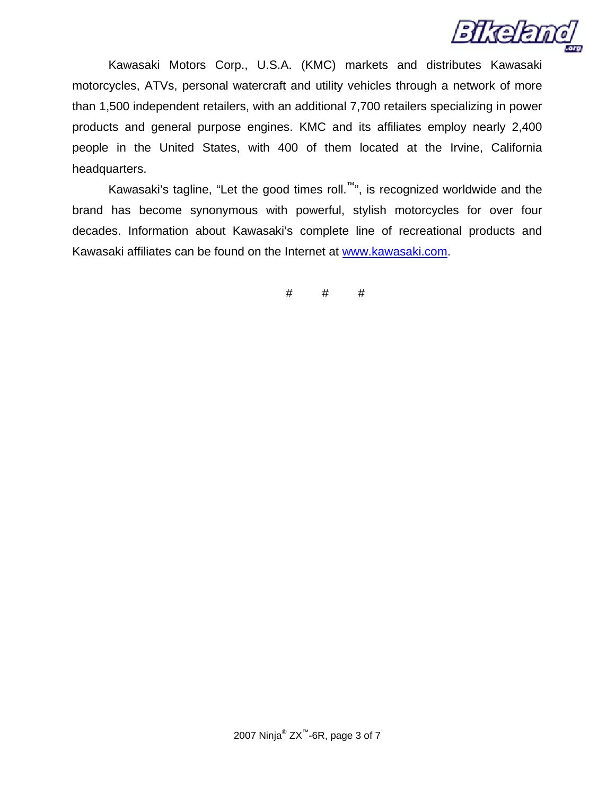

Kawasaki Motors Corp., U.S.A. (KMC) markets and distributes Kawasaki motorcycles, ATVs, personal watercraft and utility vehicles through a network of more than 1,500 independent retailers, with an additional 7,700 retailers specializing in power products and general purpose engines. KMC and its affiliates employ nearly 2,400 people in the United States, with 400 of them located at the Irvine, California headquarters.

Kawasaki's tagline, "Let the good times roll.<sup>™</sup>", is recognized worldwide and the brand has become synonymous with powerful, stylish motorcycles for over four decades. Information about Kawasaki's complete line of recreational products and Kawasaki affiliates can be found on the Internet at [www.kawasaki.com](http://64.79.171.206/exchange/j.ewert/Inbox/Supercross%20GP_xF8FF_Buckmaster%20Release.EML/1_multipart_xF8FF_3_Kawasaki-Buckmaster2.doc/C58EA28C-18C0-4a97-9AF2-036E93DDAFB3/www.kawasaki.com).

# # #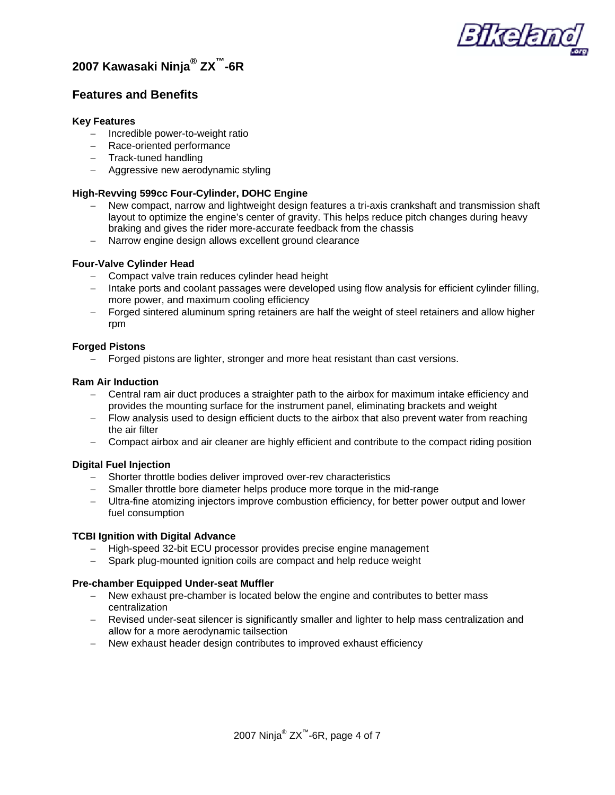

## **2007 Kawasaki Ninja® ZX™-6R**

### **Features and Benefits**

### **Key Features**

- − Incredible power-to-weight ratio
- − Race-oriented performance
- − Track-tuned handling
- − Aggressive new aerodynamic styling

### **High-Revving 599cc Four-Cylinder, DOHC Engine**

- New compact, narrow and lightweight design features a tri-axis crankshaft and transmission shaft layout to optimize the engine's center of gravity. This helps reduce pitch changes during heavy braking and gives the rider more-accurate feedback from the chassis
- − Narrow engine design allows excellent ground clearance

### **Four-Valve Cylinder Head**

- − Compact valve train reduces cylinder head height
- − Intake ports and coolant passages were developed using flow analysis for efficient cylinder filling, more power, and maximum cooling efficiency
- − Forged sintered aluminum spring retainers are half the weight of steel retainers and allow higher rpm

### **Forged Pistons**

− Forged pistons are lighter, stronger and more heat resistant than cast versions.

### **Ram Air Induction**

- − Central ram air duct produces a straighter path to the airbox for maximum intake efficiency and provides the mounting surface for the instrument panel, eliminating brackets and weight
- − Flow analysis used to design efficient ducts to the airbox that also prevent water from reaching the air filter
- − Compact airbox and air cleaner are highly efficient and contribute to the compact riding position

### **Digital Fuel Injection**

- − Shorter throttle bodies deliver improved over-rev characteristics
- − Smaller throttle bore diameter helps produce more torque in the mid-range
- − Ultra-fine atomizing injectors improve combustion efficiency, for better power output and lower fuel consumption

### **TCBI Ignition with Digital Advance**

- − High-speed 32-bit ECU processor provides precise engine management
- Spark plug-mounted ignition coils are compact and help reduce weight

### **Pre-chamber Equipped Under-seat Muffler**

- − New exhaust pre-chamber is located below the engine and contributes to better mass centralization
- − Revised under-seat silencer is significantly smaller and lighter to help mass centralization and allow for a more aerodynamic tailsection
- − New exhaust header design contributes to improved exhaust efficiency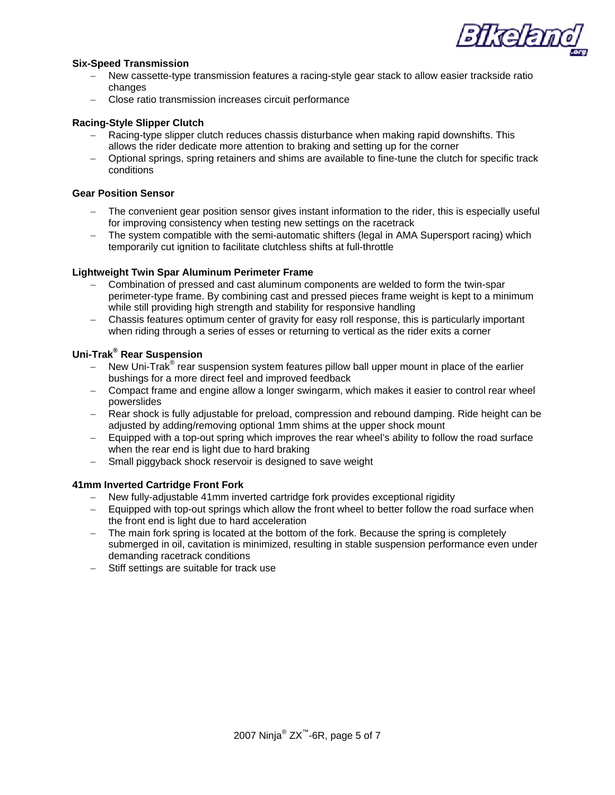

#### **Six-Speed Transmission**

- − New cassette-type transmission features a racing-style gear stack to allow easier trackside ratio changes
- − Close ratio transmission increases circuit performance

#### **Racing-Style Slipper Clutch**

- − Racing-type slipper clutch reduces chassis disturbance when making rapid downshifts. This allows the rider dedicate more attention to braking and setting up for the corner
- − Optional springs, spring retainers and shims are available to fine-tune the clutch for specific track conditions

### **Gear Position Sensor**

- The convenient gear position sensor gives instant information to the rider, this is especially useful for improving consistency when testing new settings on the racetrack
- − The system compatible with the semi-automatic shifters (legal in AMA Supersport racing) which temporarily cut ignition to facilitate clutchless shifts at full-throttle

#### **Lightweight Twin Spar Aluminum Perimeter Frame**

- − Combination of pressed and cast aluminum components are welded to form the twin-spar perimeter-type frame. By combining cast and pressed pieces frame weight is kept to a minimum while still providing high strength and stability for responsive handling
- − Chassis features optimum center of gravity for easy roll response, this is particularly important when riding through a series of esses or returning to vertical as the rider exits a corner

### **Uni-Trak® Rear Suspension**

- − New Uni-Trak<sup>®</sup> rear suspension system features pillow ball upper mount in place of the earlier bushings for a more direct feel and improved feedback
- − Compact frame and engine allow a longer swingarm, which makes it easier to control rear wheel powerslides
- − Rear shock is fully adjustable for preload, compression and rebound damping. Ride height can be adjusted by adding/removing optional 1mm shims at the upper shock mount
- − Equipped with a top-out spring which improves the rear wheel's ability to follow the road surface when the rear end is light due to hard braking
- − Small piggyback shock reservoir is designed to save weight

#### **41mm Inverted Cartridge Front Fork**

- − New fully-adjustable 41mm inverted cartridge fork provides exceptional rigidity
- − Equipped with top-out springs which allow the front wheel to better follow the road surface when the front end is light due to hard acceleration
- − The main fork spring is located at the bottom of the fork. Because the spring is completely submerged in oil, cavitation is minimized, resulting in stable suspension performance even under demanding racetrack conditions
- − Stiff settings are suitable for track use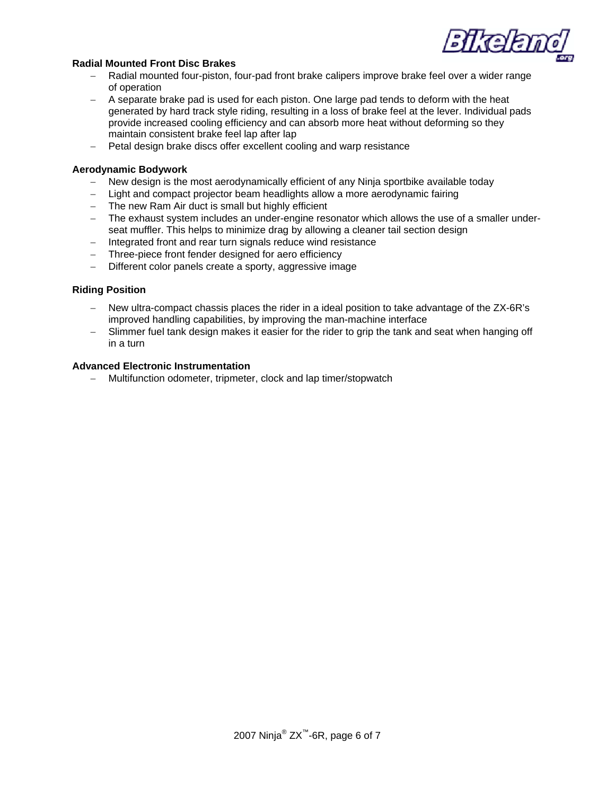

### **Radial Mounted Front Disc Brakes**

- − Radial mounted four-piston, four-pad front brake calipers improve brake feel over a wider range of operation
- − A separate brake pad is used for each piston. One large pad tends to deform with the heat generated by hard track style riding, resulting in a loss of brake feel at the lever. Individual pads provide increased cooling efficiency and can absorb more heat without deforming so they maintain consistent brake feel lap after lap
- − Petal design brake discs offer excellent cooling and warp resistance

### **Aerodynamic Bodywork**

- − New design is the most aerodynamically efficient of any Ninja sportbike available today
- − Light and compact projector beam headlights allow a more aerodynamic fairing
- − The new Ram Air duct is small but highly efficient
- − The exhaust system includes an under-engine resonator which allows the use of a smaller underseat muffler. This helps to minimize drag by allowing a cleaner tail section design
- − Integrated front and rear turn signals reduce wind resistance
- − Three-piece front fender designed for aero efficiency
- − Different color panels create a sporty, aggressive image

### **Riding Position**

- − New ultra-compact chassis places the rider in a ideal position to take advantage of the ZX-6R's improved handling capabilities, by improving the man-machine interface
- Slimmer fuel tank design makes it easier for the rider to grip the tank and seat when hanging off in a turn

### **Advanced Electronic Instrumentation**

− Multifunction odometer, tripmeter, clock and lap timer/stopwatch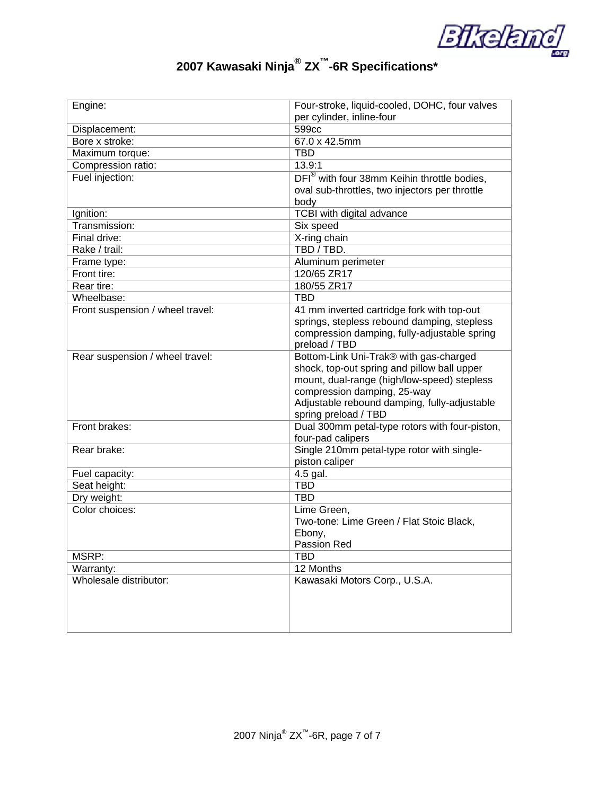

# **2007 Kawasaki Ninja® ZX™-6R Specifications\***

| Engine:                          | Four-stroke, liquid-cooled, DOHC, four valves                   |
|----------------------------------|-----------------------------------------------------------------|
|                                  | per cylinder, inline-four                                       |
| Displacement:                    | 599cc                                                           |
| Bore x stroke:                   | 67.0 x 42.5mm                                                   |
| Maximum torque:                  | <b>TBD</b>                                                      |
| Compression ratio:               | 13.9:1                                                          |
| Fuel injection:                  | DFI <sup>®</sup> with four 38mm Keihin throttle bodies,         |
|                                  | oval sub-throttles, two injectors per throttle                  |
|                                  | body                                                            |
| Ignition:                        | TCBI with digital advance                                       |
| Transmission:                    | Six speed                                                       |
| Final drive:                     | X-ring chain                                                    |
| Rake / trail:                    | TBD / TBD.                                                      |
| Frame type:                      | Aluminum perimeter                                              |
| Front tire:                      | 120/65 ZR17                                                     |
| Rear tire:                       | 180/55 ZR17                                                     |
| Wheelbase:                       | <b>TBD</b>                                                      |
| Front suspension / wheel travel: | 41 mm inverted cartridge fork with top-out                      |
|                                  | springs, stepless rebound damping, stepless                     |
|                                  | compression damping, fully-adjustable spring                    |
|                                  | preload / TBD                                                   |
| Rear suspension / wheel travel:  | Bottom-Link Uni-Trak® with gas-charged                          |
|                                  | shock, top-out spring and pillow ball upper                     |
|                                  | mount, dual-range (high/low-speed) stepless                     |
|                                  | compression damping, 25-way                                     |
|                                  | Adjustable rebound damping, fully-adjustable                    |
|                                  | spring preload / TBD                                            |
| Front brakes:                    | Dual 300mm petal-type rotors with four-piston,                  |
| Rear brake:                      | four-pad calipers<br>Single 210mm petal-type rotor with single- |
|                                  | piston caliper                                                  |
| Fuel capacity:                   | 4.5 gal.                                                        |
| Seat height:                     | <b>TBD</b>                                                      |
| Dry weight:                      | <b>TBD</b>                                                      |
| Color choices:                   | Lime Green,                                                     |
|                                  | Two-tone: Lime Green / Flat Stoic Black,                        |
|                                  | Ebony,                                                          |
|                                  | Passion Red                                                     |
| MSRP:                            | <b>TBD</b>                                                      |
| Warranty:                        | 12 Months                                                       |
| Wholesale distributor:           | Kawasaki Motors Corp., U.S.A.                                   |
|                                  |                                                                 |
|                                  |                                                                 |
|                                  |                                                                 |
|                                  |                                                                 |
|                                  |                                                                 |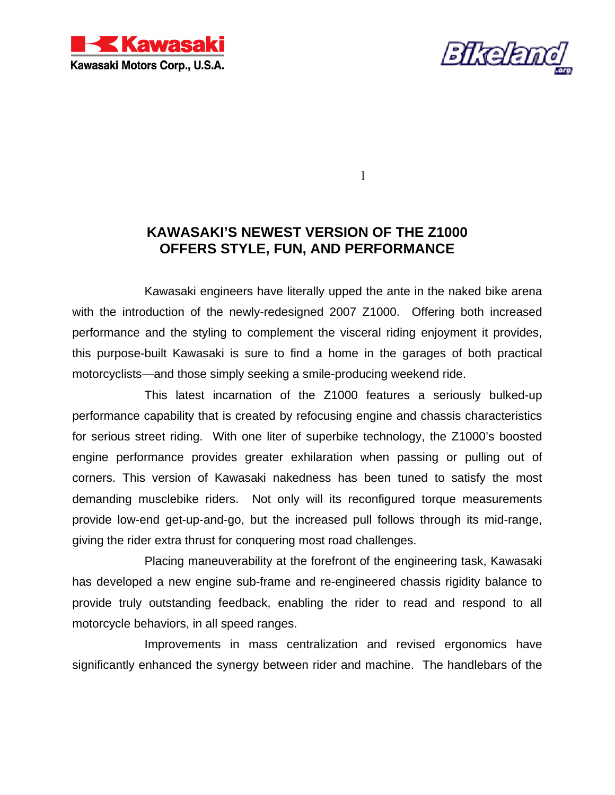



 $\mathbf l$ 

## **KAWASAKI'S NEWEST VERSION OF THE Z1000 OFFERS STYLE, FUN, AND PERFORMANCE**

 Kawasaki engineers have literally upped the ante in the naked bike arena with the introduction of the newly-redesigned 2007 Z1000. Offering both increased performance and the styling to complement the visceral riding enjoyment it provides, this purpose-built Kawasaki is sure to find a home in the garages of both practical motorcyclists—and those simply seeking a smile-producing weekend ride.

 This latest incarnation of the Z1000 features a seriously bulked-up performance capability that is created by refocusing engine and chassis characteristics for serious street riding. With one liter of superbike technology, the Z1000's boosted engine performance provides greater exhilaration when passing or pulling out of corners. This version of Kawasaki nakedness has been tuned to satisfy the most demanding musclebike riders. Not only will its reconfigured torque measurements provide low-end get-up-and-go, but the increased pull follows through its mid-range, giving the rider extra thrust for conquering most road challenges.

 Placing maneuverability at the forefront of the engineering task, Kawasaki has developed a new engine sub-frame and re-engineered chassis rigidity balance to provide truly outstanding feedback, enabling the rider to read and respond to all motorcycle behaviors, in all speed ranges.

 Improvements in mass centralization and revised ergonomics have significantly enhanced the synergy between rider and machine. The handlebars of the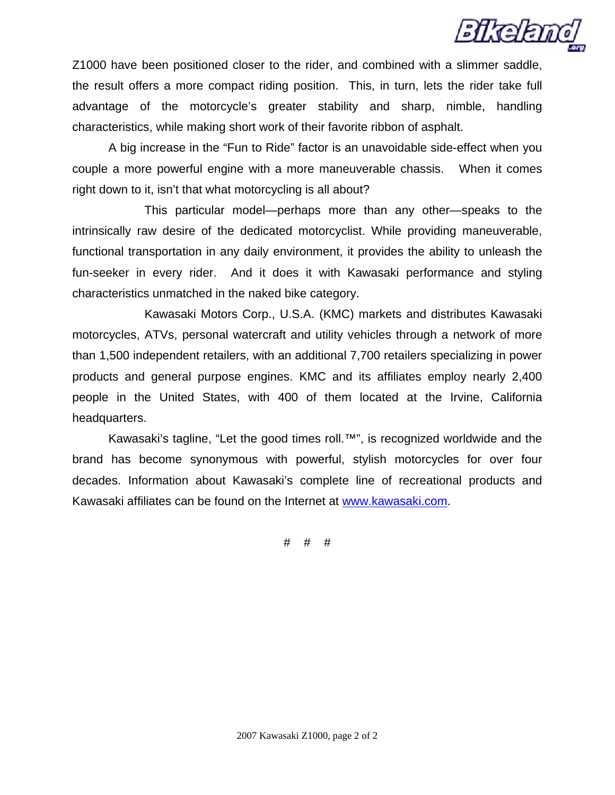

Z1000 have been positioned closer to the rider, and combined with a slimmer saddle, the result offers a more compact riding position. This, in turn, lets the rider take full advantage of the motorcycle's greater stability and sharp, nimble, handling characteristics, while making short work of their favorite ribbon of asphalt.

A big increase in the "Fun to Ride" factor is an unavoidable side-effect when you couple a more powerful engine with a more maneuverable chassis. When it comes right down to it, isn't that what motorcycling is all about?

 This particular model—perhaps more than any other—speaks to the intrinsically raw desire of the dedicated motorcyclist. While providing maneuverable, functional transportation in any daily environment, it provides the ability to unleash the fun-seeker in every rider. And it does it with Kawasaki performance and styling characteristics unmatched in the naked bike category.

Kawasaki Motors Corp., U.S.A. (KMC) markets and distributes Kawasaki motorcycles, ATVs, personal watercraft and utility vehicles through a network of more than 1,500 independent retailers, with an additional 7,700 retailers specializing in power products and general purpose engines. KMC and its affiliates employ nearly 2,400 people in the United States, with 400 of them located at the Irvine, California headquarters.

Kawasaki's tagline, "Let the good times roll.™", is recognized worldwide and the brand has become synonymous with powerful, stylish motorcycles for over four decades. Information about Kawasaki's complete line of recreational products and Kawasaki affiliates can be found on the Internet at www.kawasaki.com.

# # #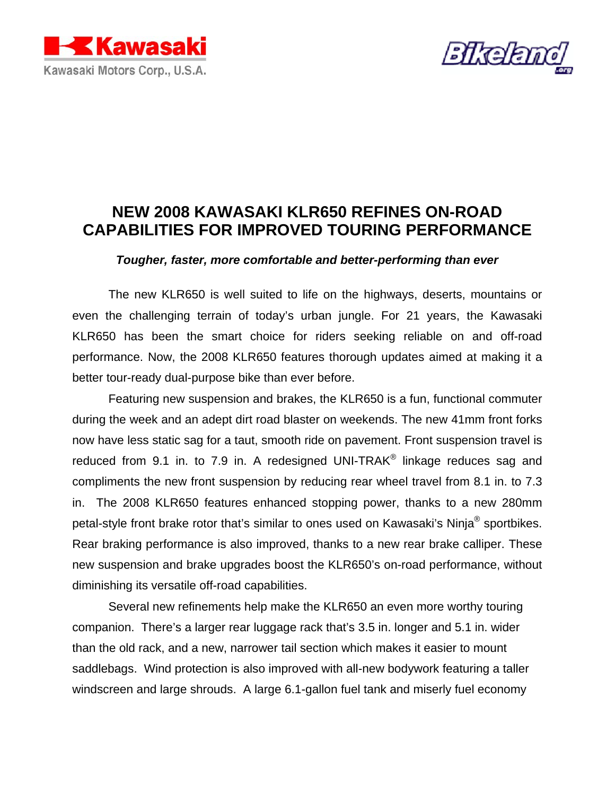



# **NEW 2008 KAWASAKI KLR650 REFINES ON-ROAD CAPABILITIES FOR IMPROVED TOURING PERFORMANCE**

### *Tougher, faster, more comfortable and better-performing than ever*

The new KLR650 is well suited to life on the highways, deserts, mountains or even the challenging terrain of today's urban jungle. For 21 years, the Kawasaki KLR650 has been the smart choice for riders seeking reliable on and off-road performance. Now, the 2008 KLR650 features thorough updates aimed at making it a better tour-ready dual-purpose bike than ever before.

Featuring new suspension and brakes, the KLR650 is a fun, functional commuter during the week and an adept dirt road blaster on weekends. The new 41mm front forks now have less static sag for a taut, smooth ride on pavement. Front suspension travel is reduced from 9.1 in. to 7.9 in. A redesigned UNI-TRAK<sup>®</sup> linkage reduces sag and compliments the new front suspension by reducing rear wheel travel from 8.1 in. to 7.3 in. The 2008 KLR650 features enhanced stopping power, thanks to a new 280mm petal-style front brake rotor that's similar to ones used on Kawasaki's Ninja® sportbikes. Rear braking performance is also improved, thanks to a new rear brake calliper. These new suspension and brake upgrades boost the KLR650's on-road performance, without diminishing its versatile off-road capabilities.

Several new refinements help make the KLR650 an even more worthy touring companion. There's a larger rear luggage rack that's 3.5 in. longer and 5.1 in. wider than the old rack, and a new, narrower tail section which makes it easier to mount saddlebags. Wind protection is also improved with all-new bodywork featuring a taller windscreen and large shrouds. A large 6.1-gallon fuel tank and miserly fuel economy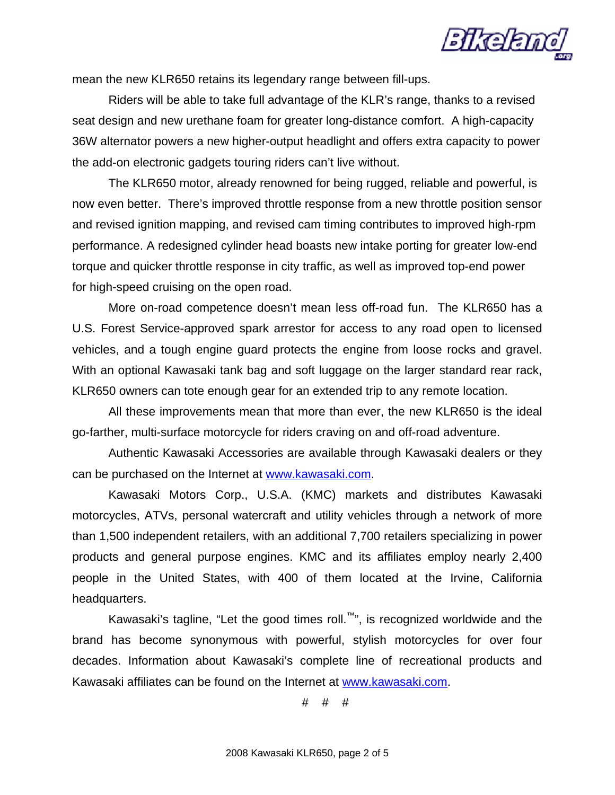

mean the new KLR650 retains its legendary range between fill-ups.

Riders will be able to take full advantage of the KLR's range, thanks to a revised seat design and new urethane foam for greater long-distance comfort. A high-capacity 36W alternator powers a new higher-output headlight and offers extra capacity to power the add-on electronic gadgets touring riders can't live without.

The KLR650 motor, already renowned for being rugged, reliable and powerful, is now even better. There's improved throttle response from a new throttle position sensor and revised ignition mapping, and revised cam timing contributes to improved high-rpm performance. A redesigned cylinder head boasts new intake porting for greater low-end torque and quicker throttle response in city traffic, as well as improved top-end power for high-speed cruising on the open road.

More on-road competence doesn't mean less off-road fun. The KLR650 has a U.S. Forest Service-approved spark arrestor for access to any road open to licensed vehicles, and a tough engine guard protects the engine from loose rocks and gravel. With an optional Kawasaki tank bag and soft luggage on the larger standard rear rack, KLR650 owners can tote enough gear for an extended trip to any remote location.

All these improvements mean that more than ever, the new KLR650 is the ideal go-farther, multi-surface motorcycle for riders craving on and off-road adventure.

Authentic Kawasaki Accessories are available through Kawasaki dealers or they can be purchased on the Internet at [www.kawasaki.com](http://www.kawasaki.com/).

Kawasaki Motors Corp., U.S.A. (KMC) markets and distributes Kawasaki motorcycles, ATVs, personal watercraft and utility vehicles through a network of more than 1,500 independent retailers, with an additional 7,700 retailers specializing in power products and general purpose engines. KMC and its affiliates employ nearly 2,400 people in the United States, with 400 of them located at the Irvine, California headquarters.

Kawasaki's tagline, "Let the good times roll.<sup>""</sup>", is recognized worldwide and the brand has become synonymous with powerful, stylish motorcycles for over four decades. Information about Kawasaki's complete line of recreational products and Kawasaki affiliates can be found on the Internet at [www.kawasaki.com](http://64.79.171.206/exchange/j.ewert/Inbox/Supercross%20GP_xF8FF_Buckmaster%20Release.EML/1_multipart_xF8FF_3_Kawasaki-Buckmaster2.doc/C58EA28C-18C0-4a97-9AF2-036E93DDAFB3/www.kawasaki.com).

# # #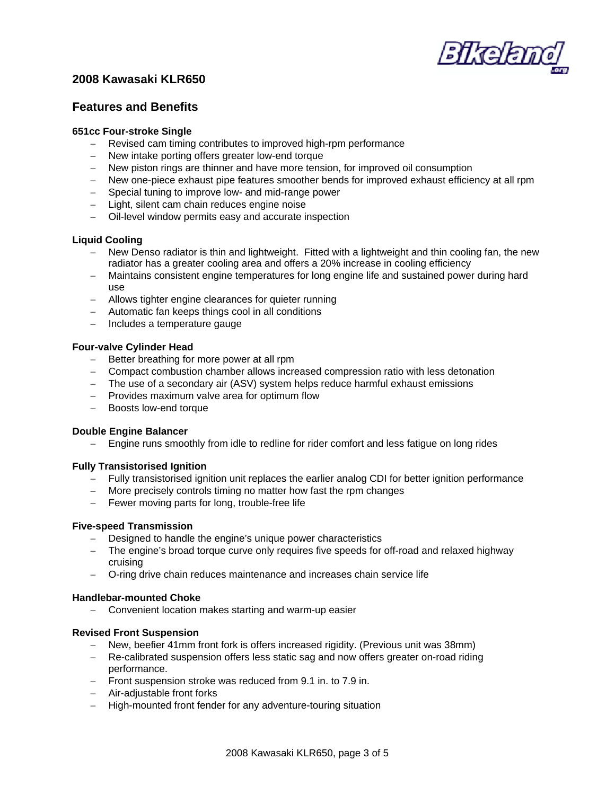

### **2008 Kawasaki KLR650**

### **Features and Benefits**

### **651cc Four-stroke Single**

- − Revised cam timing contributes to improved high-rpm performance
- − New intake porting offers greater low-end torque
- − New piston rings are thinner and have more tension, for improved oil consumption
- − New one-piece exhaust pipe features smoother bends for improved exhaust efficiency at all rpm
- − Special tuning to improve low- and mid-range power
- − Light, silent cam chain reduces engine noise
- − Oil-level window permits easy and accurate inspection

### **Liquid Cooling**

- − New Denso radiator is thin and lightweight. Fitted with a lightweight and thin cooling fan, the new radiator has a greater cooling area and offers a 20% increase in cooling efficiency
- Maintains consistent engine temperatures for long engine life and sustained power during hard use
- − Allows tighter engine clearances for quieter running
- − Automatic fan keeps things cool in all conditions
- − Includes a temperature gauge

### **Four-valve Cylinder Head**

- − Better breathing for more power at all rpm
- − Compact combustion chamber allows increased compression ratio with less detonation
- − The use of a secondary air (ASV) system helps reduce harmful exhaust emissions
- − Provides maximum valve area for optimum flow
- − Boosts low-end torque

### **Double Engine Balancer**

− Engine runs smoothly from idle to redline for rider comfort and less fatigue on long rides

### **Fully Transistorised Ignition**

- − Fully transistorised ignition unit replaces the earlier analog CDI for better ignition performance
- − More precisely controls timing no matter how fast the rpm changes
- − Fewer moving parts for long, trouble-free life

### **Five-speed Transmission**

- − Designed to handle the engine's unique power characteristics
- − The engine's broad torque curve only requires five speeds for off-road and relaxed highway cruising
- − O-ring drive chain reduces maintenance and increases chain service life

### **Handlebar-mounted Choke**

− Convenient location makes starting and warm-up easier

### **Revised Front Suspension**

- − New, beefier 41mm front fork is offers increased rigidity. (Previous unit was 38mm)
- − Re-calibrated suspension offers less static sag and now offers greater on-road riding performance.
- − Front suspension stroke was reduced from 9.1 in. to 7.9 in.
- − Air-adjustable front forks
- − High-mounted front fender for any adventure-touring situation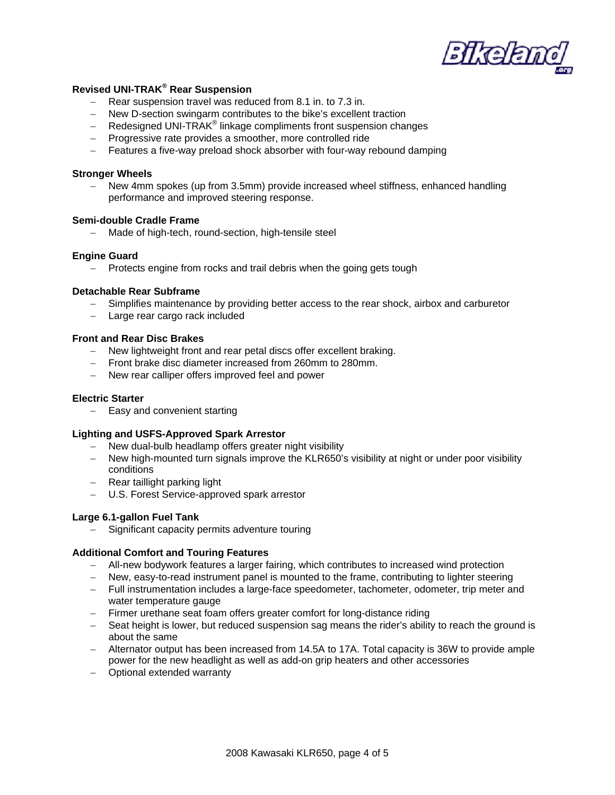

### **Revised UNI-TRAK® Rear Suspension**

- − Rear suspension travel was reduced from 8.1 in. to 7.3 in.
- − New D-section swingarm contributes to the bike's excellent traction
- Redesigned UNI-TRAK<sup>®</sup> linkage compliments front suspension changes
- − Progressive rate provides a smoother, more controlled ride
- − Features a five-way preload shock absorber with four-way rebound damping

#### **Stronger Wheels**

New 4mm spokes (up from 3.5mm) provide increased wheel stiffness, enhanced handling performance and improved steering response.

### **Semi-double Cradle Frame**

− Made of high-tech, round-section, high-tensile steel

#### **Engine Guard**

− Protects engine from rocks and trail debris when the going gets tough

#### **Detachable Rear Subframe**

- − Simplifies maintenance by providing better access to the rear shock, airbox and carburetor
- − Large rear cargo rack included

### **Front and Rear Disc Brakes**

- − New lightweight front and rear petal discs offer excellent braking.
- − Front brake disc diameter increased from 260mm to 280mm.
- − New rear calliper offers improved feel and power

#### **Electric Starter**

− Easy and convenient starting

### **Lighting and USFS-Approved Spark Arrestor**

- − New dual-bulb headlamp offers greater night visibility
- − New high-mounted turn signals improve the KLR650's visibility at night or under poor visibility conditions
- − Rear taillight parking light
- − U.S. Forest Service-approved spark arrestor

### **Large 6.1-gallon Fuel Tank**

− Significant capacity permits adventure touring

#### **Additional Comfort and Touring Features**

- − All-new bodywork features a larger fairing, which contributes to increased wind protection
- − New, easy-to-read instrument panel is mounted to the frame, contributing to lighter steering
- − Full instrumentation includes a large-face speedometer, tachometer, odometer, trip meter and water temperature gauge
- − Firmer urethane seat foam offers greater comfort for long-distance riding
- − Seat height is lower, but reduced suspension sag means the rider's ability to reach the ground is about the same
- − Alternator output has been increased from 14.5A to 17A. Total capacity is 36W to provide ample power for the new headlight as well as add-on grip heaters and other accessories
- − Optional extended warranty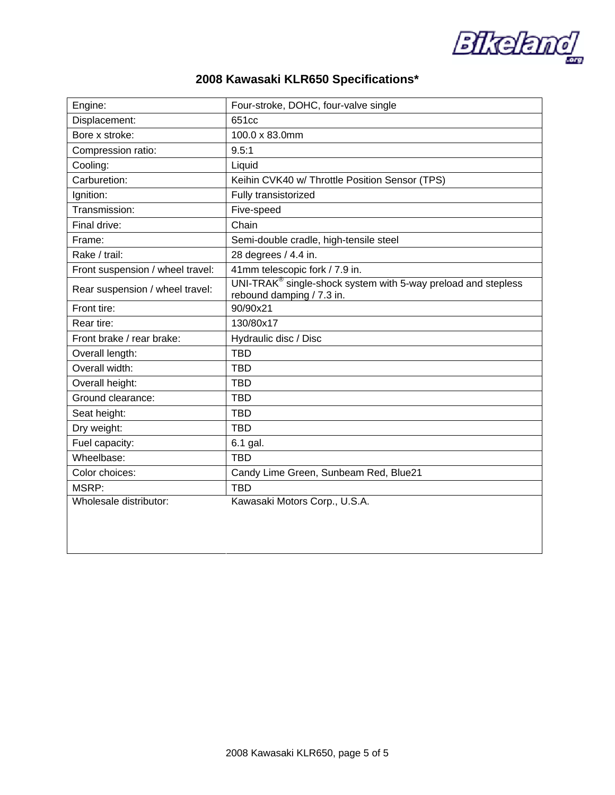**Bikeland** 

## **2008 Kawasaki KLR650 Specifications\***

| Engine:                          | Four-stroke, DOHC, four-valve single                                                         |
|----------------------------------|----------------------------------------------------------------------------------------------|
| Displacement:                    | 651cc                                                                                        |
| Bore x stroke:                   | 100.0 x 83.0mm                                                                               |
| Compression ratio:               | 9.5:1                                                                                        |
| Cooling:                         | Liquid                                                                                       |
| Carburetion:                     | Keihin CVK40 w/ Throttle Position Sensor (TPS)                                               |
| Ignition:                        | Fully transistorized                                                                         |
| Transmission:                    | Five-speed                                                                                   |
| Final drive:                     | Chain                                                                                        |
| Frame:                           | Semi-double cradle, high-tensile steel                                                       |
| Rake / trail:                    | 28 degrees / 4.4 in.                                                                         |
| Front suspension / wheel travel: | 41mm telescopic fork / 7.9 in.                                                               |
| Rear suspension / wheel travel:  | $UNI-TRAK®$ single-shock system with 5-way preload and stepless<br>rebound damping / 7.3 in. |
| Front tire:                      | 90/90x21                                                                                     |
| Rear tire:                       | 130/80x17                                                                                    |
| Front brake / rear brake:        | Hydraulic disc / Disc                                                                        |
| Overall length:                  | <b>TBD</b>                                                                                   |
| Overall width:                   | <b>TBD</b>                                                                                   |
| Overall height:                  | <b>TBD</b>                                                                                   |
| Ground clearance:                | <b>TBD</b>                                                                                   |
| Seat height:                     | <b>TBD</b>                                                                                   |
| Dry weight:                      | <b>TBD</b>                                                                                   |
| Fuel capacity:                   | 6.1 gal.                                                                                     |
| Wheelbase:                       | <b>TBD</b>                                                                                   |
| Color choices:                   | Candy Lime Green, Sunbeam Red, Blue21                                                        |
| MSRP:                            | <b>TBD</b>                                                                                   |
| Wholesale distributor:           | Kawasaki Motors Corp., U.S.A.                                                                |
|                                  |                                                                                              |
|                                  |                                                                                              |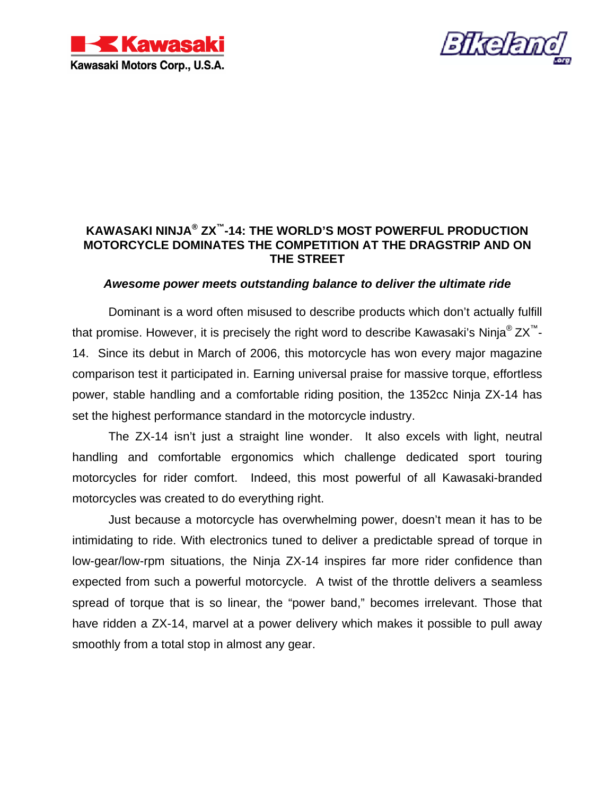



### **KAWASAKI NINJA® ZX™-14: THE WORLD'S MOST POWERFUL PRODUCTION MOTORCYCLE DOMINATES THE COMPETITION AT THE DRAGSTRIP AND ON THE STREET**

### *Awesome power meets outstanding balance to deliver the ultimate ride*

Dominant is a word often misused to describe products which don't actually fulfill that promise. However, it is precisely the right word to describe Kawasaki's Ninja<sup>®</sup>  $ZX^{\prime\prime}$ -14. Since its debut in March of 2006, this motorcycle has won every major magazine comparison test it participated in. Earning universal praise for massive torque, effortless power, stable handling and a comfortable riding position, the 1352cc Ninja ZX-14 has set the highest performance standard in the motorcycle industry.

The ZX-14 isn't just a straight line wonder. It also excels with light, neutral handling and comfortable ergonomics which challenge dedicated sport touring motorcycles for rider comfort. Indeed, this most powerful of all Kawasaki-branded motorcycles was created to do everything right.

Just because a motorcycle has overwhelming power, doesn't mean it has to be intimidating to ride. With electronics tuned to deliver a predictable spread of torque in low-gear/low-rpm situations, the Ninja ZX-14 inspires far more rider confidence than expected from such a powerful motorcycle. A twist of the throttle delivers a seamless spread of torque that is so linear, the "power band," becomes irrelevant. Those that have ridden a ZX-14, marvel at a power delivery which makes it possible to pull away smoothly from a total stop in almost any gear.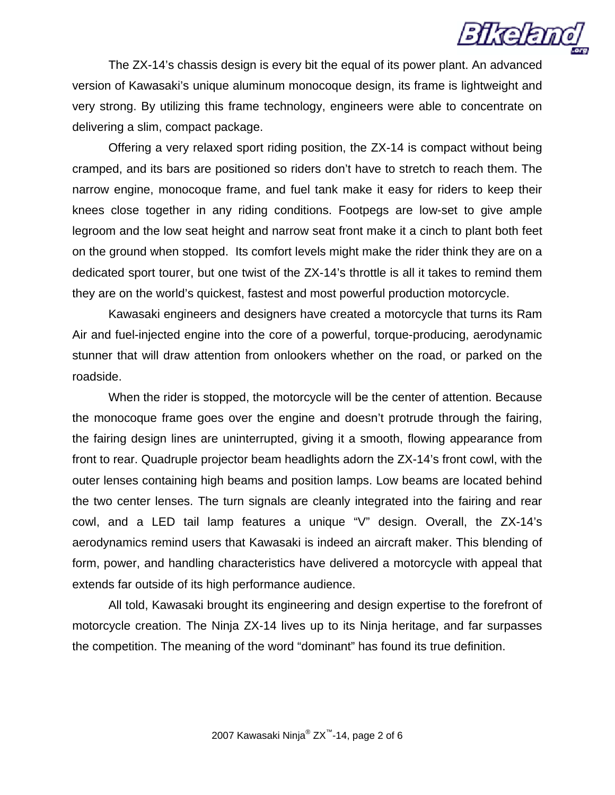

The ZX-14's chassis design is every bit the equal of its power plant. An advanced version of Kawasaki's unique aluminum monocoque design, its frame is lightweight and very strong. By utilizing this frame technology, engineers were able to concentrate on delivering a slim, compact package.

Offering a very relaxed sport riding position, the ZX-14 is compact without being cramped, and its bars are positioned so riders don't have to stretch to reach them. The narrow engine, monocoque frame, and fuel tank make it easy for riders to keep their knees close together in any riding conditions. Footpegs are low-set to give ample legroom and the low seat height and narrow seat front make it a cinch to plant both feet on the ground when stopped. Its comfort levels might make the rider think they are on a dedicated sport tourer, but one twist of the ZX-14's throttle is all it takes to remind them they are on the world's quickest, fastest and most powerful production motorcycle.

Kawasaki engineers and designers have created a motorcycle that turns its Ram Air and fuel-injected engine into the core of a powerful, torque-producing, aerodynamic stunner that will draw attention from onlookers whether on the road, or parked on the roadside.

When the rider is stopped, the motorcycle will be the center of attention. Because the monocoque frame goes over the engine and doesn't protrude through the fairing, the fairing design lines are uninterrupted, giving it a smooth, flowing appearance from front to rear. Quadruple projector beam headlights adorn the ZX-14's front cowl, with the outer lenses containing high beams and position lamps. Low beams are located behind the two center lenses. The turn signals are cleanly integrated into the fairing and rear cowl, and a LED tail lamp features a unique "V" design. Overall, the ZX-14's aerodynamics remind users that Kawasaki is indeed an aircraft maker. This blending of form, power, and handling characteristics have delivered a motorcycle with appeal that extends far outside of its high performance audience.

All told, Kawasaki brought its engineering and design expertise to the forefront of motorcycle creation. The Ninja ZX-14 lives up to its Ninja heritage, and far surpasses the competition. The meaning of the word "dominant" has found its true definition.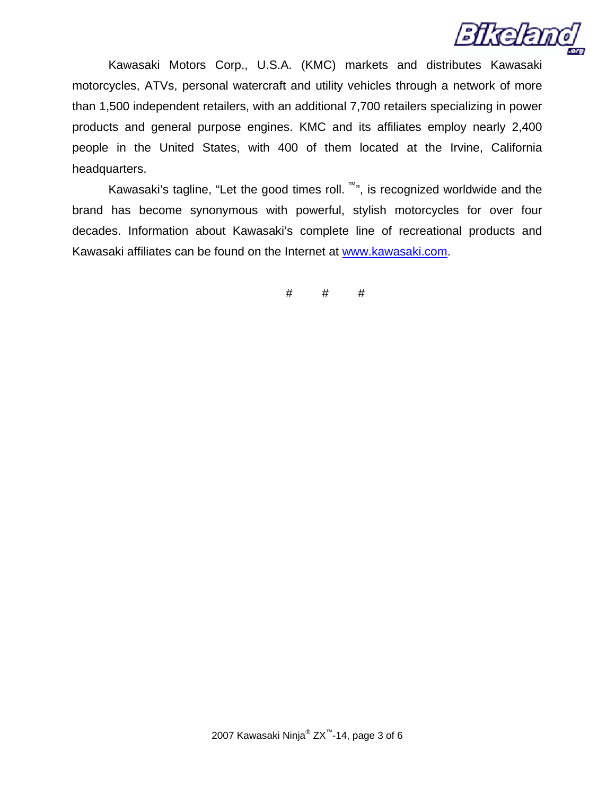

Kawasaki Motors Corp., U.S.A. (KMC) markets and distributes Kawasaki motorcycles, ATVs, personal watercraft and utility vehicles through a network of more than 1,500 independent retailers, with an additional 7,700 retailers specializing in power products and general purpose engines. KMC and its affiliates employ nearly 2,400 people in the United States, with 400 of them located at the Irvine, California headquarters.

Kawasaki's tagline, "Let the good times roll.  $\mathbb{M}$ ", is recognized worldwide and the brand has become synonymous with powerful, stylish motorcycles for over four decades. Information about Kawasaki's complete line of recreational products and Kawasaki affiliates can be found on the Internet at [www.kawasaki.com](http://64.79.171.206/exchange/j.ewert/Inbox/Supercross%20GP_xF8FF_Buckmaster%20Release.EML/1_multipart_xF8FF_3_Kawasaki-Buckmaster2.doc/C58EA28C-18C0-4a97-9AF2-036E93DDAFB3/www.kawasaki.com).

# # #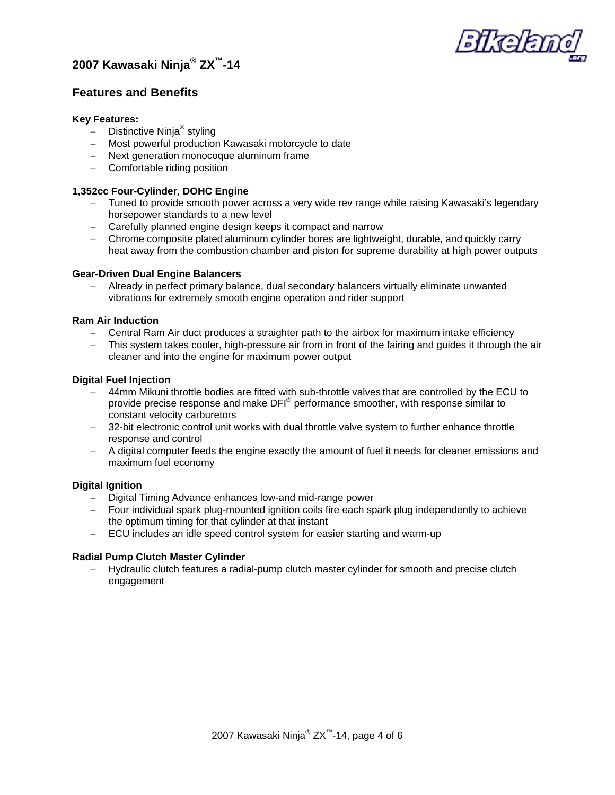



### **Features and Benefits**

### **Key Features:**

- − Distinctive Ninja® styling
- − Most powerful production Kawasaki motorcycle to date
- − Next generation monocoque aluminum frame
- − Comfortable riding position

### **1,352cc Four-Cylinder, DOHC Engine**

- − Tuned to provide smooth power across a very wide rev range while raising Kawasaki's legendary horsepower standards to a new level
- − Carefully planned engine design keeps it compact and narrow
- − Chrome composite plated aluminum cylinder bores are lightweight, durable, and quickly carry heat away from the combustion chamber and piston for supreme durability at high power outputs

### **Gear-Driven Dual Engine Balancers**

− Already in perfect primary balance, dual secondary balancers virtually eliminate unwanted vibrations for extremely smooth engine operation and rider support

### **Ram Air Induction**

- − Central Ram Air duct produces a straighter path to the airbox for maximum intake efficiency
- This system takes cooler, high-pressure air from in front of the fairing and guides it through the air cleaner and into the engine for maximum power output

### **Digital Fuel Injection**

- − 44mm Mikuni throttle bodies are fitted with sub-throttle valves that are controlled by the ECU to provide precise response and make DFI® performance smoother, with response similar to constant velocity carburetors
- − 32-bit electronic control unit works with dual throttle valve system to further enhance throttle response and control
- − A digital computer feeds the engine exactly the amount of fuel it needs for cleaner emissions and maximum fuel economy

### **Digital Ignition**

- − Digital Timing Advance enhances low-and mid-range power
- − Four individual spark plug-mounted ignition coils fire each spark plug independently to achieve the optimum timing for that cylinder at that instant
- − ECU includes an idle speed control system for easier starting and warm-up

### **Radial Pump Clutch Master Cylinder**

− Hydraulic clutch features a radial-pump clutch master cylinder for smooth and precise clutch engagement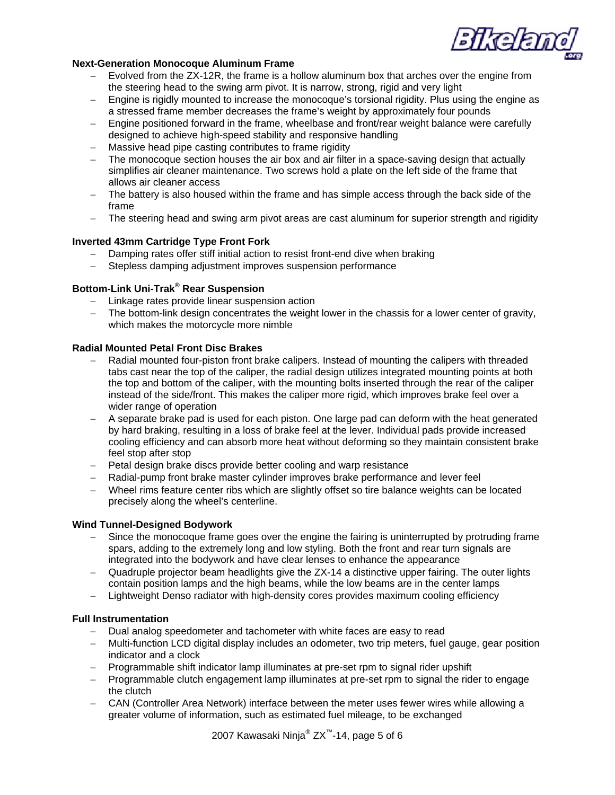

### **Next-Generation Monocoque Aluminum Frame**

- − Evolved from the ZX-12R, the frame is a hollow aluminum box that arches over the engine from the steering head to the swing arm pivot. It is narrow, strong, rigid and very light
- − Engine is rigidly mounted to increase the monocoque's torsional rigidity. Plus using the engine as a stressed frame member decreases the frame's weight by approximately four pounds
- − Engine positioned forward in the frame, wheelbase and front/rear weight balance were carefully designed to achieve high-speed stability and responsive handling
- Massive head pipe casting contributes to frame rigidity
- The monocoque section houses the air box and air filter in a space-saving design that actually simplifies air cleaner maintenance. Two screws hold a plate on the left side of the frame that allows air cleaner access
- The battery is also housed within the frame and has simple access through the back side of the frame
- − The steering head and swing arm pivot areas are cast aluminum for superior strength and rigidity

### **Inverted 43mm Cartridge Type Front Fork**

- Damping rates offer stiff initial action to resist front-end dive when braking
- Stepless damping adjustment improves suspension performance

### **Bottom-Link Uni-Trak<sup>®</sup> Rear Suspension**

- − Linkage rates provide linear suspension action
- The bottom-link design concentrates the weight lower in the chassis for a lower center of gravity, which makes the motorcycle more nimble

### **Radial Mounted Petal Front Disc Brakes**

- − Radial mounted four-piston front brake calipers. Instead of mounting the calipers with threaded tabs cast near the top of the caliper, the radial design utilizes integrated mounting points at both the top and bottom of the caliper, with the mounting bolts inserted through the rear of the caliper instead of the side/front. This makes the caliper more rigid, which improves brake feel over a wider range of operation
- − A separate brake pad is used for each piston. One large pad can deform with the heat generated by hard braking, resulting in a loss of brake feel at the lever. Individual pads provide increased cooling efficiency and can absorb more heat without deforming so they maintain consistent brake feel stop after stop
- − Petal design brake discs provide better cooling and warp resistance
- − Radial-pump front brake master cylinder improves brake performance and lever feel
- − Wheel rims feature center ribs which are slightly offset so tire balance weights can be located precisely along the wheel's centerline.

### **Wind Tunnel-Designed Bodywork**

- Since the monocoque frame goes over the engine the fairing is uninterrupted by protruding frame spars, adding to the extremely long and low styling. Both the front and rear turn signals are integrated into the bodywork and have clear lenses to enhance the appearance
- − Quadruple projector beam headlights give the ZX-14 a distinctive upper fairing. The outer lights contain position lamps and the high beams, while the low beams are in the center lamps
- − Lightweight Denso radiator with high-density cores provides maximum cooling efficiency

### **Full Instrumentation**

- − Dual analog speedometer and tachometer with white faces are easy to read
- − Multi-function LCD digital display includes an odometer, two trip meters, fuel gauge, gear position indicator and a clock
- − Programmable shift indicator lamp illuminates at pre-set rpm to signal rider upshift
- − Programmable clutch engagement lamp illuminates at pre-set rpm to signal the rider to engage the clutch
- − CAN (Controller Area Network) interface between the meter uses fewer wires while allowing a greater volume of information, such as estimated fuel mileage, to be exchanged